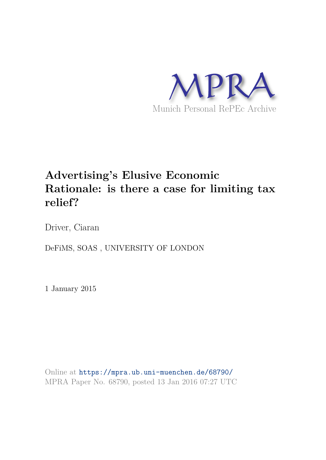

# **Advertising's Elusive Economic Rationale: is there a case for limiting tax relief?**

Driver, Ciaran

DeFiMS, SOAS , UNIVERSITY OF LONDON

1 January 2015

Online at https://mpra.ub.uni-muenchen.de/68790/ MPRA Paper No. 68790, posted 13 Jan 2016 07:27 UTC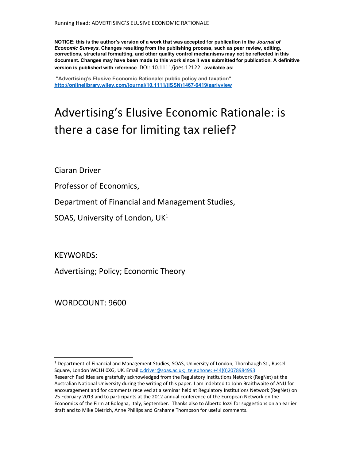**NOTICE: this is the author's version of a work that was accepted for publication in the** *Journal of Economic Surveys***. Changes resulting from the publishing process, such as peer review, editing, corrections, structural formatting, and other quality control mechanisms may not be reflected in this document. Changes may have been made to this work since it was submitted for publication. A definitive version is published with reference** DOI: 10.1111/joes.12122 **available as:** 

**"Advertising's Elusive Economic Rationale: public policy and taxation" http://onlinelibrary.wiley.com/journal/10.1111/(ISSN)1467-6419/earlyview**

# Advertising's Elusive Economic Rationale: is there a case for limiting tax relief?

Ciaran Driver

Professor of Economics,

Department of Financial and Management Studies,

SOAS, University of London,  $UK<sup>1</sup>$ 

KEYWORDS:

 $\overline{a}$ 

Advertising; Policy; Economic Theory

WORDCOUNT: 9600

<sup>&</sup>lt;sup>1</sup> Department of Financial and Management Studies, SOAS, University of London, Thornhaugh St., Russell Square, London WC1H 0XG, UK. Email c.driver@soas.ac.uk; telephone: +44(0)2078984993 Research Facilities are gratefully acknowledged from the Regulatory Institutions Network (RegNet) at the Australian National University during the writing of this paper. I am indebted to John Braithwaite of ANU for encouragement and for comments received at a seminar held at Regulatory Institutions Network (RegNet) on 25 February 2013 and to participants at the 2012 annual conference of the European Network on the Economics of the Firm at Bologna, Italy, September. Thanks also to Alberto Iozzi for suggestions on an earlier draft and to Mike Dietrich, Anne Phillips and Grahame Thompson for useful comments.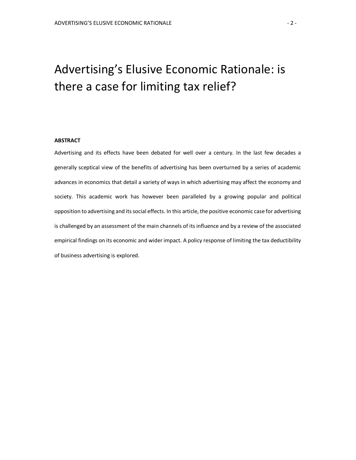# Advertising's Elusive Economic Rationale: is there a case for limiting tax relief?

# **ABSTRACT**

Advertising and its effects have been debated for well over a century. In the last few decades a generally sceptical view of the benefits of advertising has been overturned by a series of academic advances in economics that detail a variety of ways in which advertising may affect the economy and society. This academic work has however been paralleled by a growing popular and political opposition to advertising and its social effects. In this article, the positive economic case for advertising is challenged by an assessment of the main channels of its influence and by a review of the associated empirical findings on its economic and wider impact. A policy response of limiting the tax deductibility of business advertising is explored.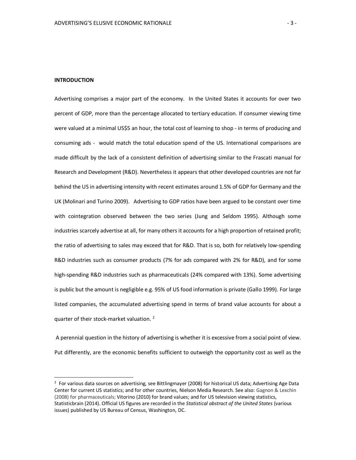# **INTRODUCTION**

 $\overline{a}$ 

Advertising comprises a major part of the economy. In the United States it accounts for over two percent of GDP, more than the percentage allocated to tertiary education. If consumer viewing time were valued at a minimal US\$5 an hour, the total cost of learning to shop - in terms of producing and consuming ads - would match the total education spend of the US. International comparisons are made difficult by the lack of a consistent definition of advertising similar to the Frascati manual for Research and Development (R&D). Nevertheless it appears that other developed countries are not far behind the US in advertising intensity with recent estimates around 1.5% of GDP for Germany and the UK (Molinari and Turino 2009). Advertising to GDP ratios have been argued to be constant over time with cointegration observed between the two series (Jung and Seldom 1995). Although some industries scarcely advertise at all, for many others it accounts for a high proportion of retained profit; the ratio of advertising to sales may exceed that for R&D. That is so, both for relatively low-spending R&D industries such as consumer products (7% for ads compared with 2% for R&D), and for some high-spending R&D industries such as pharmaceuticals (24% compared with 13%). Some advertising is public but the amount is negligible e.g. 95% of US food information is private (Gallo 1999)*.* For large listed companies, the accumulated advertising spend in terms of brand value accounts for about a quarter of their stock-market valuation.<sup>2</sup>

 A perennial question in the history of advertising is whether it is excessive from a social point of view. Put differently, are the economic benefits sufficient to outweigh the opportunity cost as well as the

<sup>&</sup>lt;sup>2</sup> For various data sources on advertising, see Bittlingmayer (2008) for historical US data; Advertising Age Data Center for current US statistics; and for other countries, Nielson Media Research. See also: Gagnon & Lexchin (2008) for pharmaceuticals; Vitorino (2010) for brand values; and for US television viewing statistics, Statisticbrain (2014). Official US figures are recorded in the *Statistical abstract of the United States* (various issues) published by US Bureau of Census, Washington, DC.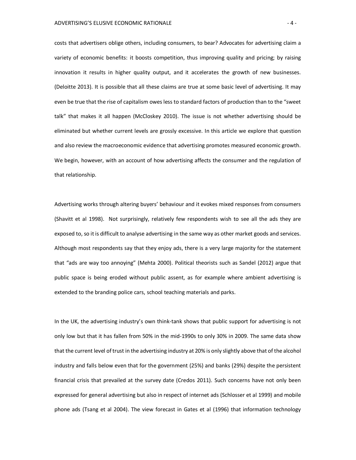costs that advertisers oblige others, including consumers, to bear? Advocates for advertising claim a variety of economic benefits: it boosts competition, thus improving quality and pricing; by raising innovation it results in higher quality output, and it accelerates the growth of new businesses. (Deloitte 2013). It is possible that all these claims are true at some basic level of advertising. It may even be true that the rise of capitalism owes less to standard factors of production than to the "sweet talk" that makes it all happen (McCloskey 2010). The issue is not whether advertising should be eliminated but whether current levels are grossly excessive. In this article we explore that question and also review the macroeconomic evidence that advertising promotes measured economic growth. We begin, however, with an account of how advertising affects the consumer and the regulation of that relationship.

Advertising works through altering buyers' behaviour and it evokes mixed responses from consumers (Shavitt et al 1998). Not surprisingly, relatively few respondents wish to see all the ads they are exposed to, so it is difficult to analyse advertising in the same way as other market goods and services. Although most respondents say that they enjoy ads, there is a very large majority for the statement that "ads are way too annoying" (Mehta 2000). Political theorists such as Sandel (2012) argue that public space is being eroded without public assent, as for example where ambient advertising is extended to the branding police cars, school teaching materials and parks.

In the UK, the advertising industry's own think-tank shows that public support for advertising is not only low but that it has fallen from 50% in the mid-1990s to only 30% in 2009. The same data show that the current level of trust in the advertising industry at 20% is only slightly above that of the alcohol industry and falls below even that for the government (25%) and banks (29%) despite the persistent financial crisis that prevailed at the survey date (Credos 2011). Such concerns have not only been expressed for general advertising but also in respect of internet ads (Schlosser et al 1999) and mobile phone ads (Tsang et al 2004). The view forecast in Gates et al (1996) that information technology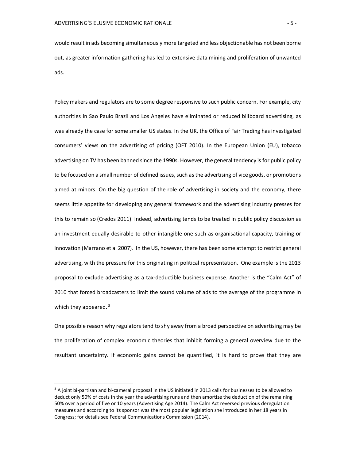would result in ads becoming simultaneously more targeted and less objectionable has not been borne out, as greater information gathering has led to extensive data mining and proliferation of unwanted ads.

Policy makers and regulators are to some degree responsive to such public concern. For example, city authorities in Sao Paulo Brazil and Los Angeles have eliminated or reduced billboard advertising, as was already the case for some smaller US states. In the UK, the Office of Fair Trading has investigated consumers' views on the advertising of pricing (OFT 2010). In the European Union (EU), tobacco advertising on TV has been banned since the 1990s. However, the general tendency is for public policy to be focused on a small number of defined issues, such as the advertising of vice goods, or promotions aimed at minors. On the big question of the role of advertising in society and the economy, there seems little appetite for developing any general framework and the advertising industry presses for this to remain so (Credos 2011). Indeed, advertising tends to be treated in public policy discussion as an investment equally desirable to other intangible one such as organisational capacity, training or innovation (Marrano et al 2007). In the US, however, there has been some attempt to restrict general advertising, with the pressure for this originating in political representation. One example is the 2013 proposal to exclude advertising as a tax-deductible business expense. Another is the "Calm Act" of 2010 that forced broadcasters to limit the sound volume of ads to the average of the programme in which they appeared. $3$ 

One possible reason why regulators tend to shy away from a broad perspective on advertising may be the proliferation of complex economic theories that inhibit forming a general overview due to the resultant uncertainty. If economic gains cannot be quantified, it is hard to prove that they are

1

 $3$  A joint bi-partisan and bi-cameral proposal in the US initiated in 2013 calls for businesses to be allowed to deduct only 50% of costs in the year the advertising runs and then amortize the deduction of the remaining 50% over a period of five or 10 years (Advertising Age 2014). The Calm Act reversed previous deregulation measures and according to its sponsor was the most popular legislation she introduced in her 18 years in Congress; for details see Federal Communications Commission (2014).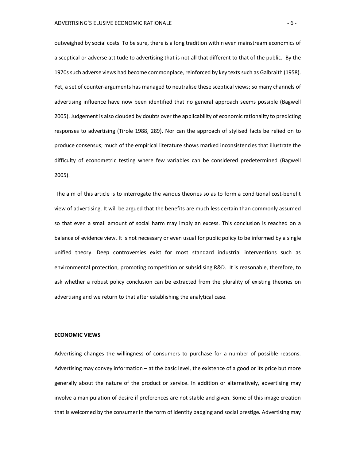outweighed by social costs. To be sure, there is a long tradition within even mainstream economics of a sceptical or adverse attitude to advertising that is not all that different to that of the public. By the 1970s such adverse views had become commonplace, reinforced by key texts such as Galbraith (1958). Yet, a set of counter-arguments has managed to neutralise these sceptical views; so many channels of advertising influence have now been identified that no general approach seems possible (Bagwell 2005). Judgement is also clouded by doubts over the applicability of economic rationality to predicting responses to advertising (Tirole 1988, 289). Nor can the approach of stylised facts be relied on to produce consensus; much of the empirical literature shows marked inconsistencies that illustrate the difficulty of econometric testing where few variables can be considered predetermined (Bagwell 2005).

 The aim of this article is to interrogate the various theories so as to form a conditional cost-benefit view of advertising. It will be argued that the benefits are much less certain than commonly assumed so that even a small amount of social harm may imply an excess. This conclusion is reached on a balance of evidence view. It is not necessary or even usual for public policy to be informed by a single unified theory. Deep controversies exist for most standard industrial interventions such as environmental protection, promoting competition or subsidising R&D. It is reasonable, therefore, to ask whether a robust policy conclusion can be extracted from the plurality of existing theories on advertising and we return to that after establishing the analytical case.

# **ECONOMIC VIEWS**

Advertising changes the willingness of consumers to purchase for a number of possible reasons. Advertising may convey information – at the basic level, the existence of a good or its price but more generally about the nature of the product or service. In addition or alternatively, advertising may involve a manipulation of desire if preferences are not stable and given. Some of this image creation that is welcomed by the consumer in the form of identity badging and social prestige. Advertising may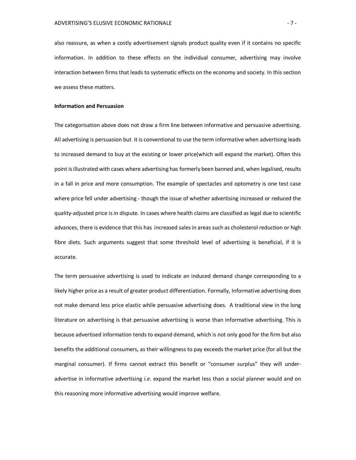also reassure, as when a costly advertisement signals product quality even if it contains no specific information. In addition to these effects on the individual consumer, advertising may involve interaction between firms that leads to systematic effects on the economy and society. In this section we assess these matters.

# **Information and Persuasion**

The categorisation above does not draw a firm line between informative and persuasive advertising. All advertising is persuasion but it is conventional to use the term informative when advertising leads to increased demand to buy at the existing or lower price(which will expand the market). Often this point is illustrated with cases where advertising has formerly been banned and, when legalised, results in a fall in price and more consumption. The example of spectacles and optometry is one test case where price fell under advertising - though the issue of whether advertising increased or reduced the quality-adjusted price is in dispute. In cases where health claims are classified as legal due to scientific advances, there is evidence that this has increased sales in areas such as cholesterol reduction or high fibre diets. Such arguments suggest that some threshold level of advertising is beneficial, if it is accurate.

The term persuasive advertising is used to indicate an induced demand change corresponding to a likely higher price as a result of greater product differentiation. Formally, Informative advertising does not make demand less price elastic while persuasive advertising does. A traditional view in the long literature on advertising is that persuasive advertising is worse than informative advertising. This is because advertised information tends to expand demand, which is not only good for the firm but also benefits the additional consumers, as their willingness to pay exceeds the market price (for all but the marginal consumer). If firms cannot extract this benefit or "consumer surplus" they will underadvertise in informative advertising *i.e*. expand the market less than a social planner would and on this reasoning more informative advertising would improve welfare.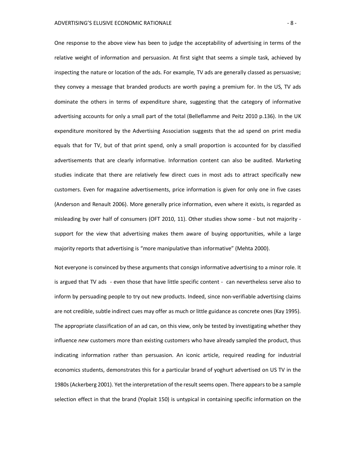One response to the above view has been to judge the acceptability of advertising in terms of the relative weight of information and persuasion. At first sight that seems a simple task, achieved by inspecting the nature or location of the ads. For example, TV ads are generally classed as persuasive; they convey a message that branded products are worth paying a premium for. In the US, TV ads dominate the others in terms of expenditure share, suggesting that the category of informative advertising accounts for only a small part of the total (Belleflamme and Peitz 2010 p.136). In the UK expenditure monitored by the Advertising Association suggests that the ad spend on print media equals that for TV, but of that print spend, only a small proportion is accounted for by classified advertisements that are clearly informative. Information content can also be audited. Marketing studies indicate that there are relatively few direct cues in most ads to attract specifically new customers. Even for magazine advertisements, price information is given for only one in five cases (Anderson and Renault 2006). More generally price information, even where it exists, is regarded as misleading by over half of consumers (OFT 2010, 11). Other studies show some - but not majority support for the view that advertising makes them aware of buying opportunities, while a large majority reports that advertising is "more manipulative than informative" (Mehta 2000).

Not everyone is convinced by these arguments that consign informative advertising to a minor role. It is argued that TV ads - even those that have little specific content - can nevertheless serve also to inform by persuading people to try out new products. Indeed, since non-verifiable advertising claims are not credible, subtle indirect cues may offer as much or little guidance as concrete ones (Kay 1995). The appropriate classification of an ad can, on this view, only be tested by investigating whether they influence *new* customers more than existing customers who have already sampled the product, thus indicating information rather than persuasion. An iconic article, required reading for industrial economics students, demonstrates this for a particular brand of yoghurt advertised on US TV in the 1980s (Ackerberg 2001). Yet the interpretation of the result seems open. There appears to be a sample selection effect in that the brand (Yoplait 150) is untypical in containing specific information on the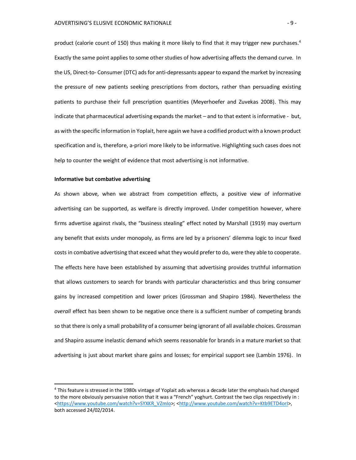product (calorie count of 150) thus making it more likely to find that it may trigger new purchases.<sup>4</sup> Exactly the same point applies to some other studies of how advertising affects the demand curve. In the US, Direct-to- Consumer (DTC) ads for anti-depressants appear to expand the market by increasing the pressure of new patients seeking prescriptions from doctors, rather than persuading existing patients to purchase their full prescription quantities (Meyerhoefer and Zuvekas 2008). This may indicate that pharmaceutical advertising expands the market – and to that extent is informative - but, as with the specific information in Yoplait, here again we have a codified product with a known product specification and is, therefore, a-priori more likely to be informative. Highlighting such cases does not help to counter the weight of evidence that most advertising is not informative.

### **Informative but combative advertising**

1

As shown above, when we abstract from competition effects, a positive view of informative advertising can be supported, as welfare is directly improved. Under competition however, where firms advertise against rivals, the "business stealing" effect noted by Marshall (1919) may overturn any benefit that exists under monopoly, as firms are led by a prisoners' dilemma logic to incur fixed costs in combative advertising that exceed what they would prefer to do, were they able to cooperate. The effects here have been established by assuming that advertising provides truthful information that allows customers to search for brands with particular characteristics and thus bring consumer gains by increased competition and lower prices (Grossman and Shapiro 1984). Nevertheless the *overall* effect has been shown to be negative once there is a sufficient number of competing brands so that there is only a small probability of a consumer being ignorant of all available choices. Grossman and Shapiro assume inelastic demand which seems reasonable for brands in a mature market so that advertising is just about market share gains and losses; for empirical support see (Lambin 1976). In

<sup>4</sup> This feature is stressed in the 1980s vintage of Yoplait ads whereas a decade later the emphasis had changed to the more obviously persuasive notion that it was a "French" yoghurt. Contrast the two clips respectively in : <https://www.youtube.com/watch?v=SYXKR\_VZmIo>; <http://www.youtube.com/watch?v=Ktb9ETD4orI>, both accessed 24/02/2014.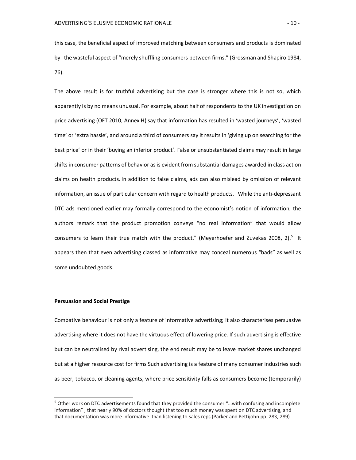this case, the beneficial aspect of improved matching between consumers and products is dominated by the wasteful aspect of "merely shuffling consumers between firms." (Grossman and Shapiro 1984, 76).

The above result is for truthful advertising but the case is stronger where this is not so, which apparently is by no means unusual. For example, about half of respondents to the UK investigation on price advertising (OFT 2010, Annex H) say that information has resulted in 'wasted journeys', 'wasted time' or 'extra hassle', and around a third of consumers say it results in 'giving up on searching for the best price' or in their 'buying an inferior product'. False or unsubstantiated claims may result in large shifts in consumer patterns of behavior as is evident from substantial damages awarded in class action claims on health products. In addition to false claims, ads can also mislead by omission of relevant information, an issue of particular concern with regard to health products. While the anti-depressant DTC ads mentioned earlier may formally correspond to the economist's notion of information, the authors remark that the product promotion conveys "no real information" that would allow consumers to learn their true match with the product." (Meyerhoefer and Zuvekas 2008, 2).<sup>5</sup> It appears then that even advertising classed as informative may conceal numerous "bads" as well as some undoubted goods.

#### **Persuasion and Social Prestige**

1

Combative behaviour is not only a feature of informative advertising; it also characterises persuasive advertising where it does not have the virtuous effect of lowering price. If such advertising is effective but can be neutralised by rival advertising, the end result may be to leave market shares unchanged but at a higher resource cost for firms Such advertising is a feature of many consumer industries such as beer, tobacco, or cleaning agents, where price sensitivity falls as consumers become (temporarily)

<sup>&</sup>lt;sup>5</sup> Other work on DTC advertisements found that they provided the consumer "...with confusing and incomplete information" , that nearly 90% of doctors thought that too much money was spent on DTC advertising, and that documentation was more informative than listening to sales reps (Parker and Pettijohn pp. 283, 289)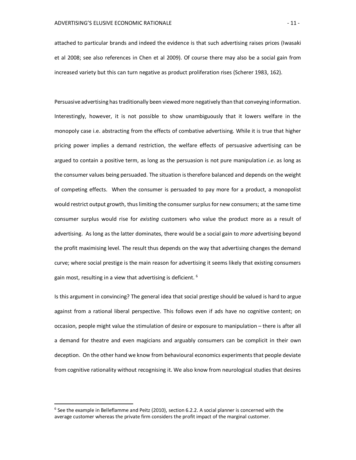attached to particular brands and indeed the evidence is that such advertising raises prices (Iwasaki et al 2008; see also references in Chen et al 2009). Of course there may also be a social gain from increased variety but this can turn negative as product proliferation rises (Scherer 1983, 162).

Persuasive advertising has traditionally been viewed more negatively than that conveying information. Interestingly, however, it is not possible to show unambiguously that it lowers welfare in the monopoly case i.e. abstracting from the effects of combative advertising. While it is true that higher pricing power implies a demand restriction, the welfare effects of persuasive advertising can be argued to contain a positive term, as long as the persuasion is not pure manipulation *i.e*. as long as the consumer values being persuaded. The situation is therefore balanced and depends on the weight of competing effects. When the consumer is persuaded to pay more for a product, a monopolist would restrict output growth, thus limiting the consumer surplus for new consumers; at the same time consumer surplus would rise for *existing* customers who value the product more as a result of advertising. As long as the latter dominates, there would be a social gain to *more* advertising beyond the profit maximising level. The result thus depends on the way that advertising changes the demand curve; where social prestige is the main reason for advertising it seems likely that existing consumers gain most, resulting in a view that advertising is deficient.  $6$ 

Is this argument in convincing? The general idea that social prestige should be valued is hard to argue against from a rational liberal perspective. This follows even if ads have no cognitive content; on occasion, people might value the stimulation of desire or exposure to manipulation – there is after all a demand for theatre and even magicians and arguably consumers can be complicit in their own deception. On the other hand we know from behavioural economics experiments that people deviate from cognitive rationality without recognising it. We also know from neurological studies that desires

1

<sup>&</sup>lt;sup>6</sup> See the example in Belleflamme and Peitz (2010), section 6.2.2. A social planner is concerned with the average customer whereas the private firm considers the profit impact of the marginal customer.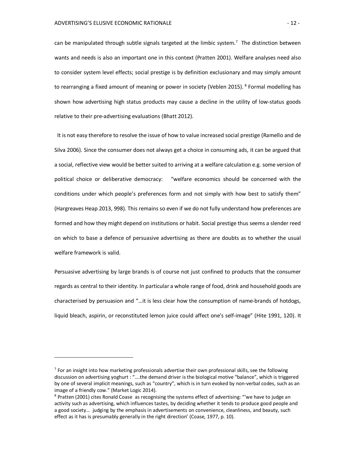$\overline{a}$ 

can be manipulated through subtle signals targeted at the limbic system.<sup>7</sup> The distinction between wants and needs is also an important one in this context (Pratten 2001). Welfare analyses need also to consider system level effects; social prestige is by definition exclusionary and may simply amount to rearranging a fixed amount of meaning or power in society (Veblen 2015). <sup>8</sup> Formal modelling has shown how advertising high status products may cause a decline in the utility of low-status goods relative to their pre-advertising evaluations (Bhatt 2012).

 It is not easy therefore to resolve the issue of how to value increased social prestige (Ramello and de Silva 2006). Since the consumer does not always get a choice in consuming ads, it can be argued that a social, reflective view would be better suited to arriving at a welfare calculation e.g. some version of political choice or deliberative democracy: "welfare economics should be concerned with the conditions under which people's preferences form and not simply with how best to satisfy them" (Hargreaves Heap 2013, 998). This remains so even if we do not fully understand how preferences are formed and how they might depend on institutions or habit. Social prestige thus seems a slender reed on which to base a defence of persuasive advertising as there are doubts as to whether the usual welfare framework is valid.

Persuasive advertising by large brands is of course not just confined to products that the consumer regards as central to their identity. In particular a whole range of food, drink and household goods are characterised by persuasion and "…it is less clear how the consumption of name-brands of hotdogs, liquid bleach, aspirin, or reconstituted lemon juice could affect one's self-image" (Hite 1991, 120). It

<sup>&</sup>lt;sup>7</sup> For an insight into how marketing professionals advertise their own professional skills, see the following discussion on advertising yoghurt : "….the demand driver is the biological motive "balance", which is triggered by one of several implicit meanings, such as "country", which is in turn evoked by non-verbal codes, such as an image of a friendly cow." (Market Logic 2014).

<sup>&</sup>lt;sup>8</sup> Pratten (2001) cites Ronald Coase as recognising the systems effect of advertising: "'we have to judge an activity such as advertising, which influences tastes, by deciding whether it tends to produce good people and a good society… judging by the emphasis in advertisements on convenience, cleanliness, and beauty, such effect as it has is presumably generally in the right direction' (Coase, 1977, p. 10).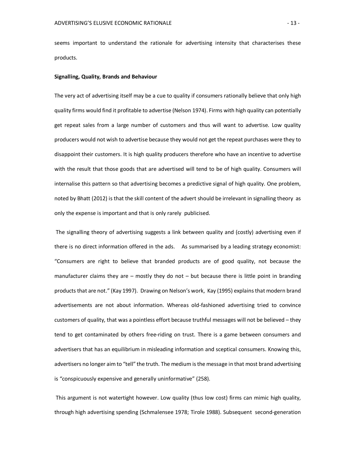seems important to understand the rationale for advertising intensity that characterises these products.

### **Signalling, Quality, Brands and Behaviour**

The very act of advertising itself may be a cue to quality if consumers rationally believe that only high quality firms would find it profitable to advertise (Nelson 1974). Firms with high quality can potentially get repeat sales from a large number of customers and thus will want to advertise. Low quality producers would not wish to advertise because they would not get the repeat purchases were they to disappoint their customers. It is high quality producers therefore who have an incentive to advertise with the result that those goods that are advertised will tend to be of high quality. Consumers will internalise this pattern so that advertising becomes a predictive signal of high quality. One problem, noted by Bhatt (2012) is that the skill content of the advert should be irrelevant in signalling theory as only the expense is important and that is only rarely publicised.

 The signalling theory of advertising suggests a link between quality and (costly) advertising even if there is no direct information offered in the ads. As summarised by a leading strategy economist: "Consumers are right to believe that branded products are of good quality, not because the manufacturer claims they are  $-$  mostly they do not  $-$  but because there is little point in branding products that are not." (Kay 1997). Drawing on Nelson's work, Kay (1995) explains that modern brand advertisements are not about information. Whereas old-fashioned advertising tried to convince customers of quality, that was a pointless effort because truthful messages will not be believed – they tend to get contaminated by others free-riding on trust. There is a game between consumers and advertisers that has an equilibrium in misleading information and sceptical consumers. Knowing this, advertisers no longer aim to "tell" the truth. The medium is the message in that most brand advertising is "conspicuously expensive and generally uninformative" (258).

 This argument is not watertight however. Low quality (thus low cost) firms can mimic high quality, through high advertising spending (Schmalensee 1978; Tirole 1988). Subsequent second-generation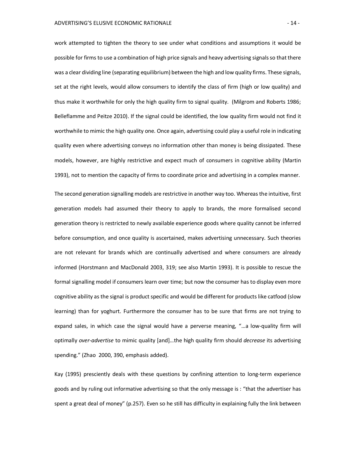work attempted to tighten the theory to see under what conditions and assumptions it would be possible for firms to use a combination of high price signals and heavy advertising signals so that there was a clear dividing line (separating equilibrium) between the high and low quality firms. These signals, set at the right levels, would allow consumers to identify the class of firm (high or low quality) and thus make it worthwhile for only the high quality firm to signal quality. (Milgrom and Roberts 1986; Belleflamme and Peitze 2010). If the signal could be identified, the low quality firm would not find it worthwhile to mimic the high quality one. Once again, advertising could play a useful role in indicating quality even where advertising conveys no information other than money is being dissipated. These models, however, are highly restrictive and expect much of consumers in cognitive ability (Martin 1993), not to mention the capacity of firms to coordinate price and advertising in a complex manner.

The second generation signalling models are restrictive in another way too. Whereas the intuitive, first generation models had assumed their theory to apply to brands, the more formalised second generation theory is restricted to newly available experience goods where quality cannot be inferred before consumption, and once quality is ascertained, makes advertising unnecessary. Such theories are not relevant for brands which are continually advertised and where consumers are already informed (Horstmann and MacDonald 2003, 319; see also Martin 1993). It is possible to rescue the formal signalling model if consumers learn over time; but now the consumer has to display even more cognitive ability as the signal is product specific and would be different for products like catfood (slow learning) than for yoghurt. Furthermore the consumer has to be sure that firms are not trying to expand sales, in which case the signal would have a perverse meaning, "…a low-quality firm will optimally *over-advertise* to mimic quality [and]…the high quality firm should *decrease* its advertising spending." (Zhao 2000, 390, emphasis added).

Kay (1995) presciently deals with these questions by confining attention to long-term experience goods and by ruling out informative advertising so that the only message is : "that the advertiser has spent a great deal of money" (p.257). Even so he still has difficulty in explaining fully the link between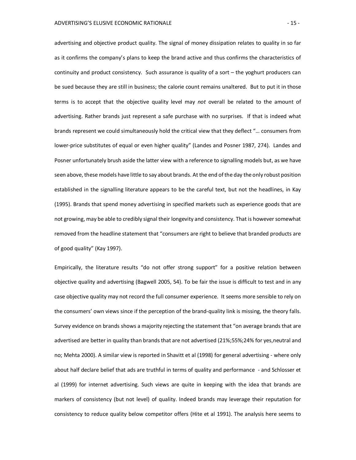advertising and objective product quality. The signal of money dissipation relates to quality in so far as it confirms the company's plans to keep the brand active and thus confirms the characteristics of continuity and product consistency. Such assurance is quality of a sort – the yoghurt producers can be sued because they are still in business; the calorie count remains unaltered. But to put it in those terms is to accept that the objective quality level may *not* overall be related to the amount of advertising. Rather brands just represent a safe purchase with no surprises. If that is indeed what brands represent we could simultaneously hold the critical view that they deflect "… consumers from lower-price substitutes of equal or even higher quality" (Landes and Posner 1987, 274). Landes and Posner unfortunately brush aside the latter view with a reference to signalling models but, as we have seen above, these models have little to say about brands. At the end of the day the only robust position established in the signalling literature appears to be the careful text, but not the headlines, in Kay (1995). Brands that spend money advertising in specified markets such as experience goods that are not growing, may be able to credibly signal their longevity and consistency. That is however somewhat removed from the headline statement that "consumers are right to believe that branded products are of good quality" (Kay 1997).

Empirically, the literature results "do not offer strong support" for a positive relation between objective quality and advertising (Bagwell 2005, 54). To be fair the issue is difficult to test and in any case objective quality may not record the full consumer experience. It seems more sensible to rely on the consumers' own views since if the perception of the brand-quality link is missing, the theory falls. Survey evidence on brands shows a majority rejecting the statement that "on average brands that are advertised are better in quality than brands that are not advertised (21%;55%;24% for yes,neutral and no; Mehta 2000). A similar view is reported in Shavitt et al (1998) for general advertising - where only about half declare belief that ads are truthful in terms of quality and performance - and Schlosser et al (1999) for internet advertising. Such views are quite in keeping with the idea that brands are markers of consistency (but not level) of quality. Indeed brands may leverage their reputation for consistency to reduce quality below competitor offers (Hite et al 1991). The analysis here seems to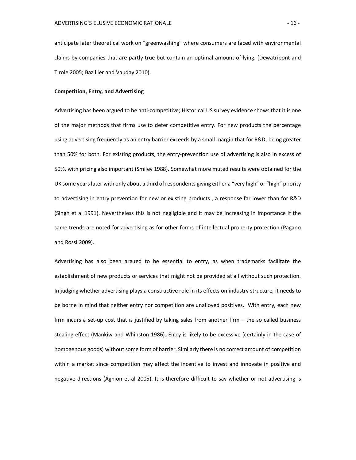anticipate later theoretical work on "greenwashing" where consumers are faced with environmental claims by companies that are partly true but contain an optimal amount of lying. (Dewatripont and Tirole 2005; Bazillier and Vauday 2010).

## **Competition, Entry, and Advertising**

Advertising has been argued to be anti-competitive; Historical US survey evidence shows that it is one of the major methods that firms use to deter competitive entry. For new products the percentage using advertising frequently as an entry barrier exceeds by a small margin that for R&D, being greater than 50% for both. For existing products, the entry-prevention use of advertising is also in excess of 50%, with pricing also important (Smiley 1988). Somewhat more muted results were obtained for the UK some years later with only about a third of respondents giving either a "very high" or "high" priority to advertising in entry prevention for new or existing products , a response far lower than for R&D (Singh et al 1991). Nevertheless this is not negligible and it may be increasing in importance if the same trends are noted for advertising as for other forms of intellectual property protection (Pagano and Rossi 2009).

Advertising has also been argued to be essential to entry, as when trademarks facilitate the establishment of new products or services that might not be provided at all without such protection. In judging whether advertising plays a constructive role in its effects on industry structure, it needs to be borne in mind that neither entry nor competition are unalloyed positives. With entry, each new firm incurs a set-up cost that is justified by taking sales from another firm – the so called business stealing effect (Mankiw and Whinston 1986). Entry is likely to be excessive (certainly in the case of homogenous goods) without some form of barrier. Similarly there is no correct amount of competition within a market since competition may affect the incentive to invest and innovate in positive and negative directions (Aghion et al 2005). It is therefore difficult to say whether or not advertising is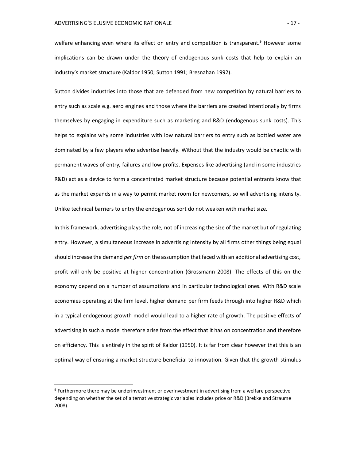welfare enhancing even where its effect on entry and competition is transparent.<sup>9</sup> However some implications can be drawn under the theory of endogenous sunk costs that help to explain an industry's market structure (Kaldor 1950; Sutton 1991; Bresnahan 1992).

Sutton divides industries into those that are defended from new competition by natural barriers to entry such as scale e.g. aero engines and those where the barriers are created intentionally by firms themselves by engaging in expenditure such as marketing and R&D (endogenous sunk costs). This helps to explains why some industries with low natural barriers to entry such as bottled water are dominated by a few players who advertise heavily. Without that the industry would be chaotic with permanent waves of entry, failures and low profits. Expenses like advertising (and in some industries R&D) act as a device to form a concentrated market structure because potential entrants know that as the market expands in a way to permit market room for newcomers, so will advertising intensity. Unlike technical barriers to entry the endogenous sort do not weaken with market size.

In this framework, advertising plays the role, not of increasing the size of the market but of regulating entry. However, a simultaneous increase in advertising intensity by all firms other things being equal should increase the demand *per firm* on the assumption that faced with an additional advertising cost, profit will only be positive at higher concentration (Grossmann 2008). The effects of this on the economy depend on a number of assumptions and in particular technological ones. With R&D scale economies operating at the firm level, higher demand per firm feeds through into higher R&D which in a typical endogenous growth model would lead to a higher rate of growth. The positive effects of advertising in such a model therefore arise from the effect that it has on concentration and therefore on efficiency. This is entirely in the spirit of Kaldor (1950). It is far from clear however that this is an optimal way of ensuring a market structure beneficial to innovation. Given that the growth stimulus

l,

<sup>&</sup>lt;sup>9</sup> Furthermore there may be underinvestment or overinvestment in advertising from a welfare perspective depending on whether the set of alternative strategic variables includes price or R&D (Brekke and Straume 2008).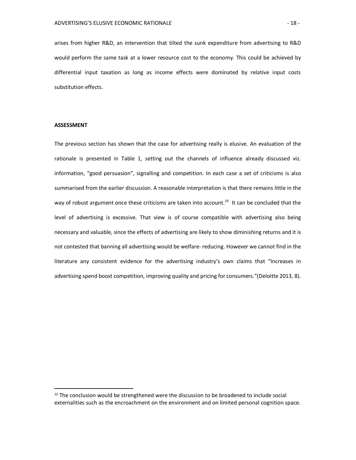arises from higher R&D, an intervention that tilted the sunk expenditure from advertising to R&D would perform the same task at a lower resource cost to the economy. This could be achieved by differential input taxation as long as income effects were dominated by relative input costs substitution effects.

# **ASSESSMENT**

l,

The previous section has shown that the case for advertising really is elusive. An evaluation of the rationale is presented in Table 1, setting out the channels of influence already discussed viz. information, "good persuasion", signalling and competition. In each case a set of criticisms is also summarised from the earlier discussion. A reasonable interpretation is that there remains little in the way of robust argument once these criticisms are taken into account.<sup>10</sup> It can be concluded that the level of advertising is excessive. That view is of course compatible with advertising also being necessary and valuable, since the effects of advertising are likely to show diminishing returns and it is not contested that banning all advertising would be welfare- reducing. However we cannot find in the literature any consistent evidence for the advertising industry's own claims that "Increases in advertising spend boost competition, improving quality and pricing for consumers."(Deloitte 2013, 8).

 $10$  The conclusion would be strengthened were the discussion to be broadened to include social externalities such as the encroachment on the environment and on limited personal cognition space.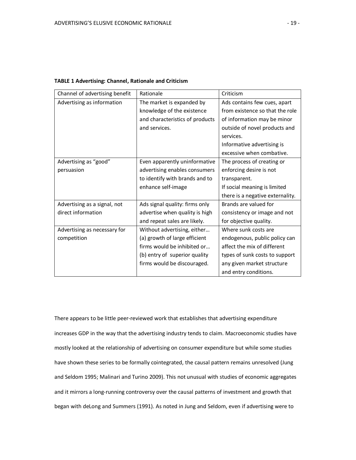| Channel of advertising benefit | Rationale                       | Criticism                        |
|--------------------------------|---------------------------------|----------------------------------|
| Advertising as information     | The market is expanded by       | Ads contains few cues, apart     |
|                                | knowledge of the existence      | from existence so that the role  |
|                                | and characteristics of products | of information may be minor      |
|                                | and services.                   | outside of novel products and    |
|                                |                                 | services.                        |
|                                |                                 | Informative advertising is       |
|                                |                                 | excessive when combative.        |
| Advertising as "good"          | Even apparently uninformative   | The process of creating or       |
| persuasion                     | advertising enables consumers   | enforcing desire is not          |
|                                | to identify with brands and to  | transparent.                     |
|                                | enhance self-image              | If social meaning is limited     |
|                                |                                 | there is a negative externality. |
| Advertising as a signal, not   | Ads signal quality: firms only  | Brands are valued for            |
| direct information             | advertise when quality is high  | consistency or image and not     |
|                                | and repeat sales are likely.    | for objective quality.           |
| Advertising as necessary for   | Without advertising, either     | Where sunk costs are             |
| competition                    | (a) growth of large efficient   | endogenous, public policy can    |
|                                | firms would be inhibited or     | affect the mix of different      |
|                                | (b) entry of superior quality   | types of sunk costs to support   |
|                                | firms would be discouraged.     | any given market structure       |
|                                |                                 | and entry conditions.            |

# **TABLE 1 Advertising: Channel, Rationale and Criticism**

There appears to be little peer-reviewed work that establishes that advertising expenditure increases GDP in the way that the advertising industry tends to claim. Macroeconomic studies have mostly looked at the relationship of advertising on consumer expenditure but while some studies have shown these series to be formally cointegrated, the causal pattern remains unresolved (Jung and Seldom 1995; Malinari and Turino 2009). This not unusual with studies of economic aggregates and it mirrors a long-running controversy over the causal patterns of investment and growth that began with deLong and Summers (1991). As noted in Jung and Seldom, even if advertising were to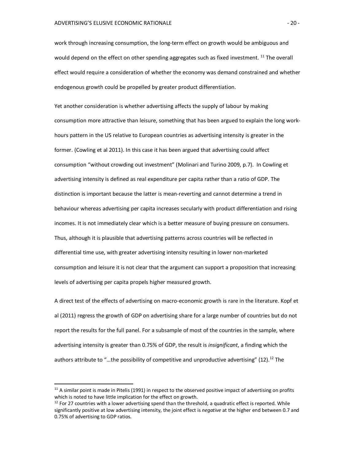work through increasing consumption, the long-term effect on growth would be ambiguous and would depend on the effect on other spending aggregates such as fixed investment. <sup>11</sup> The overall effect would require a consideration of whether the economy was demand constrained and whether endogenous growth could be propelled by greater product differentiation.

Yet another consideration is whether advertising affects the supply of labour by making consumption more attractive than leisure, something that has been argued to explain the long workhours pattern in the US relative to European countries as advertising intensity is greater in the former. (Cowling et al 2011). In this case it has been argued that advertising could affect consumption "without crowding out investment" (Molinari and Turino 2009, p.7). In Cowling et advertising intensity is defined as real expenditure per capita rather than a ratio of GDP. The distinction is important because the latter is mean-reverting and cannot determine a trend in behaviour whereas advertising per capita increases secularly with product differentiation and rising incomes. It is not immediately clear which is a better measure of buying pressure on consumers. Thus, although it is plausible that advertising patterns across countries will be reflected in differential time use, with greater advertising intensity resulting in lower non-marketed consumption and leisure it is not clear that the argument can support a proposition that increasing levels of advertising per capita propels higher measured growth.

A direct test of the effects of advertising on macro-economic growth is rare in the literature. Kopf et al (2011) regress the growth of GDP on advertising share for a large number of countries but do not report the results for the full panel. For a subsample of most of the countries in the sample, where advertising intensity is greater than 0.75% of GDP, the result is *insignificant*, a finding which the authors attribute to "...the possibility of competitive and unproductive advertising"  $(12).^{12}$  The

1

 $11$  A similar point is made in Pitelis (1991) in respect to the observed positive impact of advertising on profits which is noted to have little implication for the effect on growth.

 $12$  For 27 countries with a lower advertising spend than the threshold, a quadratic effect is reported. While significantly positive at low advertising intensity, the joint effect is *negative* at the higher end between 0.7 and 0.75% of advertising to GDP ratios.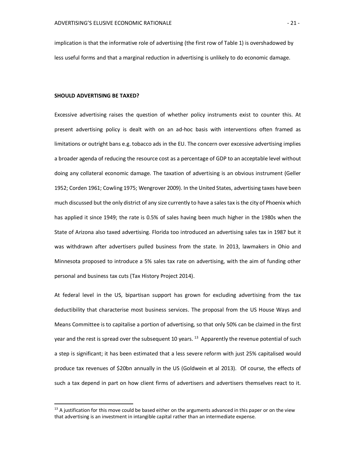implication is that the informative role of advertising (the first row of Table 1) is overshadowed by less useful forms and that a marginal reduction in advertising is unlikely to do economic damage.

# **SHOULD ADVERTISING BE TAXED?**

1

Excessive advertising raises the question of whether policy instruments exist to counter this. At present advertising policy is dealt with on an ad-hoc basis with interventions often framed as limitations or outright bans e.g. tobacco ads in the EU. The concern over excessive advertising implies a broader agenda of reducing the resource cost as a percentage of GDP to an acceptable level without doing any collateral economic damage. The taxation of advertising is an obvious instrument (Geller 1952; Corden 1961; Cowling 1975; Wengrover 2009). In the United States, advertising taxes have been much discussed but the only district of any size currently to have a sales tax is the city of Phoenix which has applied it since 1949; the rate is 0.5% of sales having been much higher in the 1980s when the State of Arizona also taxed advertising. Florida too introduced an advertising sales tax in 1987 but it was withdrawn after advertisers pulled business from the state. In 2013, lawmakers in Ohio and Minnesota proposed to introduce a 5% sales tax rate on advertising, with the aim of funding other personal and business tax cuts (Tax History Project 2014).

At federal level in the US, bipartisan support has grown for excluding advertising from the tax deductibility that characterise most business services. The proposal from the US House Ways and Means Committee is to capitalise a portion of advertising, so that only 50% can be claimed in the first year and the rest is spread over the subsequent 10 years. <sup>13</sup> Apparently the revenue potential of such a step is significant; it has been estimated that a less severe reform with just 25% capitalised would produce tax revenues of \$20bn annually in the US (Goldwein et al 2013). Of course, the effects of such a tax depend in part on how client firms of advertisers and advertisers themselves react to it.

 $13$  A justification for this move could be based either on the arguments advanced in this paper or on the view that advertising is an investment in intangible capital rather than an intermediate expense.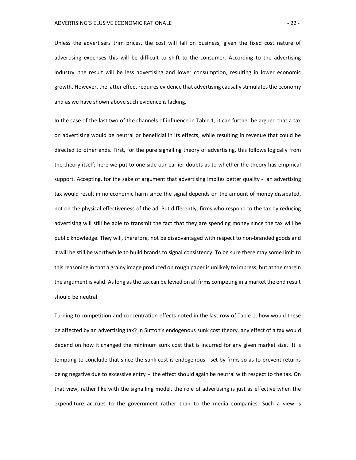Unless the advertisers trim prices, the cost will fall on business; given the fixed cost nature of advertising expenses this will be difficult to shift to the consumer. According to the advertising industry, the result will be less advertising and lower consumption, resulting in lower economic growth. However, the latter effect requires evidence that advertising causally stimulates the economy and as we have shown above such evidence is lacking.

In the case of the last two of the channels of influence in Table 1, it can further be argued that a tax on advertising would be neutral or beneficial in its effects, while resulting in revenue that could be directed to other ends. First, for the pure signalling theory of advertising, this follows logically from the theory itself; here we put to one side our earlier doubts as to whether the theory has empirical support. Accepting, for the sake of argument that advertising implies better quality - an advertising tax would result in no economic harm since the signal depends on the amount of money dissipated, not on the physical effectiveness of the ad. Put differently, firms who respond to the tax by reducing advertising will still be able to transmit the fact that they are spending money since the tax will be public knowledge. They will, therefore, not be disadvantaged with respect to non-branded goods and it will be still be worthwhile to build brands to signal consistency. To be sure there may some limit to this reasoning in that a grainy image produced on rough paper is unlikely to impress, but at the margin the argument is valid. As long as the tax can be levied on all firms competing in a market the end result should be neutral.

Turning to competition and concentration effects noted in the last row of Table 1, how would these be affected by an advertising tax? In Sutton's endogenous sunk cost theory, any effect of a tax would depend on how it changed the minimum sunk cost that is incurred for any given market size. It is tempting to conclude that since the sunk cost is endogenous - set by firms so as to prevent returns being negative due to excessive entry - the effect should again be neutral with respect to the tax. On that view, rather like with the signalling model, the role of advertising is just as effective when the expenditure accrues to the government rather than to the media companies. Such a view is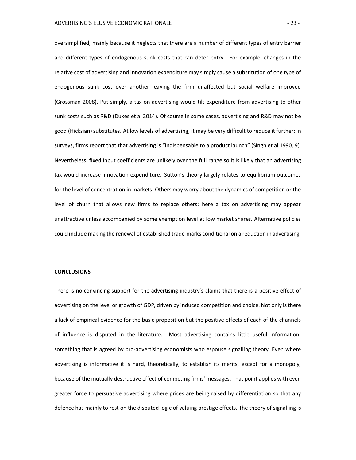oversimplified, mainly because it neglects that there are a number of different types of entry barrier and different types of endogenous sunk costs that can deter entry. For example, changes in the relative cost of advertising and innovation expenditure may simply cause a substitution of one type of endogenous sunk cost over another leaving the firm unaffected but social welfare improved (Grossman 2008). Put simply, a tax on advertising would tilt expenditure from advertising to other sunk costs such as R&D (Dukes et al 2014). Of course in some cases, advertising and R&D may not be good (Hicksian) substitutes. At low levels of advertising, it may be very difficult to reduce it further; in surveys, firms report that that advertising is "indispensable to a product launch" (Singh et al 1990, 9). Nevertheless, fixed input coefficients are unlikely over the full range so it is likely that an advertising tax would increase innovation expenditure. Sutton's theory largely relates to equilibrium outcomes for the level of concentration in markets. Others may worry about the dynamics of competition or the level of churn that allows new firms to replace others; here a tax on advertising may appear unattractive unless accompanied by some exemption level at low market shares. Alternative policies could include making the renewal of established trade-marks conditional on a reduction in advertising.

# **CONCLUSIONS**

There is no convincing support for the advertising industry's claims that there is a positive effect of advertising on the level or growth of GDP, driven by induced competition and choice. Not only is there a lack of empirical evidence for the basic proposition but the positive effects of each of the channels of influence is disputed in the literature. Most advertising contains little useful information, something that is agreed by pro-advertising economists who espouse signalling theory. Even where advertising is informative it is hard, theoretically, to establish its merits, except for a monopoly, because of the mutually destructive effect of competing firms' messages. That point applies with even greater force to persuasive advertising where prices are being raised by differentiation so that any defence has mainly to rest on the disputed logic of valuing prestige effects. The theory of signalling is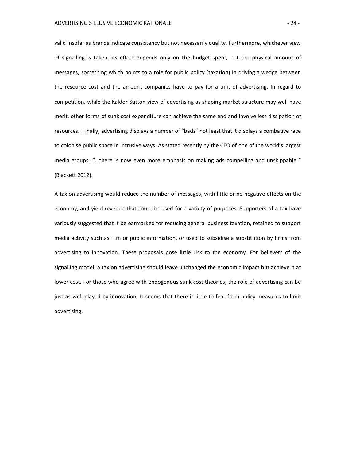valid insofar as brands indicate consistency but not necessarily quality. Furthermore, whichever view of signalling is taken, its effect depends only on the budget spent, not the physical amount of messages, something which points to a role for public policy (taxation) in driving a wedge between the resource cost and the amount companies have to pay for a unit of advertising. In regard to competition, while the Kaldor-Sutton view of advertising as shaping market structure may well have merit, other forms of sunk cost expenditure can achieve the same end and involve less dissipation of resources. Finally, advertising displays a number of "bads" not least that it displays a combative race to colonise public space in intrusive ways. As stated recently by the CEO of one of the world's largest media groups: "...there is now even more emphasis on making ads compelling and unskippable " (Blackett 2012).

A tax on advertising would reduce the number of messages, with little or no negative effects on the economy, and yield revenue that could be used for a variety of purposes. Supporters of a tax have variously suggested that it be earmarked for reducing general business taxation, retained to support media activity such as film or public information, or used to subsidise a substitution by firms from advertising to innovation. These proposals pose little risk to the economy. For believers of the signalling model, a tax on advertising should leave unchanged the economic impact but achieve it at lower cost. For those who agree with endogenous sunk cost theories, the role of advertising can be just as well played by innovation. It seems that there is little to fear from policy measures to limit advertising.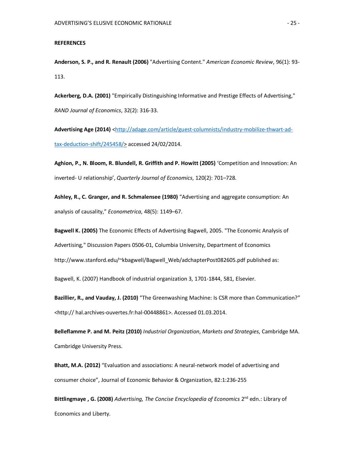#### **REFERENCES**

**Anderson, S. P., and R. Renault (2006)** "Advertising Content." *American Economic Review*, 96(1): 93- 113.

**Ackerberg, D.A. (2001)** "Empirically Distinguishing Informative and Prestige Effects of Advertising," *RAND Journal of Economics*, 32(2): 316-33.

Advertising Age (2014) <http://adage.com/article/guest-columnists/industry-mobilize-thwart-adtax-deduction-shift/245458/> accessed 24/02/2014.

**Aghion, P., N. Bloom, R. Blundell, R. Griffith and P. Howitt (2005)** 'Competition and Innovation: An inverted- U relationship', *Quarterly Journal of Economics*, 120(2): 701–728.

**Ashley, R., C. Granger, and R. Schmalensee (1980)** "Advertising and aggregate consumption: An analysis of causality," *Econometrica*, 48(5): 1149–67.

**Bagwell K. (2005)** The Economic Effects of Advertising Bagwell, 2005. "The Economic Analysis of Advertising," Discussion Papers 0506-01, Columbia University, Department of Economics http://www.stanford.edu/~kbagwell/Bagwell\_Web/adchapterPost082605.pdf published as:

Bagwell, K. (2007) Handbook of industrial organization 3, 1701-1844, 581, Elsevier.

**Bazillier, R., and Vauday, J. (2010)** "The Greenwashing Machine: Is CSR more than Communication?" <http:// hal.archives-ouvertes.fr:hal-00448861>. Accessed 01.03.2014.

**Belleflamme P. and M. Peitz (2010)** *Industrial Organization*, *Markets and Strategies*, Cambridge MA. Cambridge University Press.

**Bhatt, M.A. (2012)** "Evaluation and associations: A neural-network model of advertising and consumer choice", Journal of Economic Behavior & Organization, 82:1:236-255

Bittlingmaye, G. (2008) *Advertising, The Concise Encyclopedia of Economics* 2<sup>nd</sup> edn.: Library of Economics and Liberty.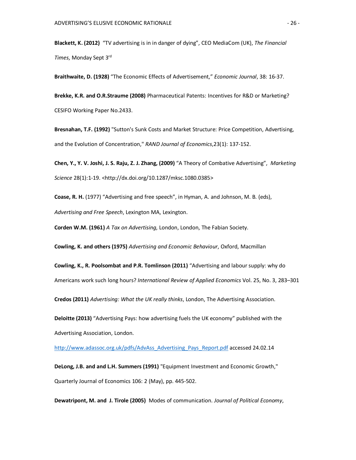**Blackett, K. (2012)** "TV advertising is in in danger of dying", CEO MediaCom (UK), *The Financial Times*, Monday Sept 3rd

**Braithwaite, D. (1928)** "The Economic Effects of Advertisement," *Economic Journal*, 38: 16-37.

**Brekke, K.R. and O.R.Straume (2008)** Pharmaceutical Patents: Incentives for R&D or Marketing? CESIFO Working Paper No.2433.

**Bresnahan, T.F. (1992)** "Sutton's Sunk Costs and Market Structure: Price Competition, Advertising, and the Evolution of Concentration," *RAND Journal of Economics*,23(1): 137-152.

**Chen, Y., Y. V. Joshi, J. S. Raju, Z. J. Zhang, (2009)** "A Theory of Combative Advertising", *Marketing Science* 28(1):1-19. <http://dx.doi.org/10.1287/mksc.1080.0385>

**Coase, R. H.** (1977) "Advertising and free speech", in Hyman, A. and Johnson, M. B. (eds), *Advertising and Free Speech*, Lexington MA, Lexington.

**Corden W.M. (1961)** *A Tax on Advertising*, London, London, The Fabian Society.

**Cowling, K. and others (1975)** *Advertising and Economic Behaviour*, Oxford, Macmillan

**Cowling, K., R. Poolsombat and P.R. Tomlinson (2011)** "Advertising and labour supply: why do Americans work such long hours? *International Review of Applied Economics* Vol. 25, No. 3, 283–301

**Credos (2011)** *Advertising: What the UK really thinks*, London, The Advertising Association.

**Deloitte (2013)** "Advertising Pays: how advertising fuels the UK economy" published with the Advertising Association, London.

http://www.adassoc.org.uk/pdfs/AdvAss\_Advertising\_Pays\_Report.pdf accessed 24.02.14

**DeLong, J.B. and and L.H. Summers (1991)** "Equipment Investment and Economic Growth," Quarterly Journal of Economics 106: 2 (May), pp. 445-502.

**Dewatripont, M. and J. Tirole (2005)** Modes of communication. *Journal of Political Economy*,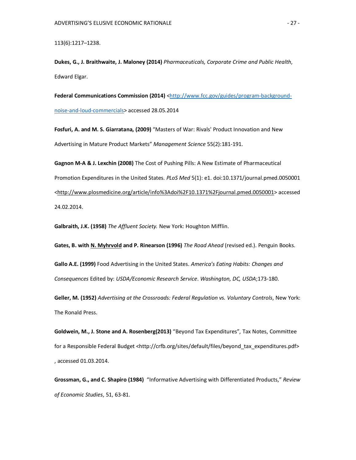113(6):1217–1238.

**Dukes, G., J. Braithwaite, J. Maloney (2014)** *Pharmaceuticals, Corporate Crime and Public Health*, Edward Elgar.

Federal Communications Commission (2014) <http://www.fcc.gov/guides/program-backgroundnoise-and-loud-commercials> accessed 28.05.2014

**Fosfuri, A. and M. S. Giarratana, (2009)** "Masters of War: Rivals' Product Innovation and New Advertising in Mature Product Markets" *Management Science* 55(2):181-191.

**Gagnon M-A & J. Lexchin (2008)** The Cost of Pushing Pills: A New Estimate of Pharmaceutical Promotion Expenditures in the United States. *PLoS Med* 5(1): e1. doi:10.1371/journal.pmed.0050001 <http://www.plosmedicine.org/article/info%3Adoi%2F10.1371%2Fjournal.pmed.0050001> accessed 24.02.2014.

**Galbraith, J.K. (1958)** *The Affluent Society.* New York: Houghton Mifflin.

**Gates, B. with N. Myhrvold and P. Rinearson (1996)** *The Road Ahead* (revised ed.). Penguin Books.

**Gallo A.E. (1999)** Food Advertising in the United States. *America's Eating Habits: Changes and Consequences* Edited by: *USDA/Economic Research Service*. *Washington, DC, USDA*;173-180.

**Geller, M. (1952)** *Advertising at the Crossroads: Federal Regulation vs. Voluntary Controls*, New York: The Ronald Press.

**Goldwein, M., J. Stone and A. Rosenberg(2013)** "Beyond Tax Expenditures", Tax Notes, Committee for a Responsible Federal Budget <http://crfb.org/sites/default/files/beyond\_tax\_expenditures.pdf> , accessed 01.03.2014.

**Grossman, G., and C. Shapiro (1984)** "Informative Advertising with Differentiated Products," *Review of Economic Studies*, 51, 63-81.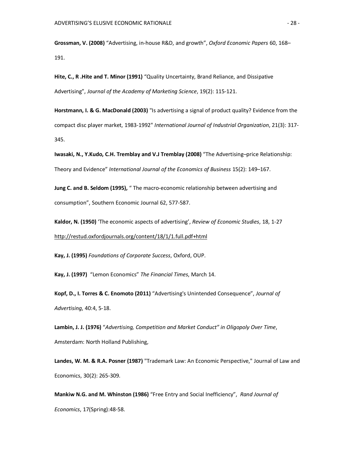**Grossman, V. (2008)** "Advertising, in-house R&D, and growth", *Oxford Economic Papers* 60, 168– 191.

**Hite, C., R .Hite and T. Minor (1991)** "Quality Uncertainty, Brand Reliance, and Dissipative Advertising", *Journal of the Academy of Marketing Science*, 19(2): 115-121.

**Horstmann, I. & G. MacDonald (2003)** "Is advertising a signal of product quality? Evidence from the compact disc player market, 1983-1992" *International Journal of Industrial Organization*, 21(3): 317- 345.

**Iwasaki, N., Y.Kudo, C.H. Tremblay and V.J Tremblay (2008)** "The Advertising–price Relationship: Theory and Evidence" *International Journal of the Economics of Business* 15(2): 149–167.

**Jung C. and B. Seldom (1995),** " The macro-economic relationship between advertising and consumption", Southern Economic Journal 62, 577-587.

**Kaldor, N. (1950)** 'The economic aspects of advertising', *Review of Economic Studies*, 18, 1-27 http://restud.oxfordjournals.org/content/18/1/1.full.pdf+html

**Kay, J. (1995)** *Foundations of Corporate Success*, Oxford, OUP.

**Kay, J. (1997)** "Lemon Economics" *The Financial Times*, March 14.

**Kopf, D., I. Torres & C. Enomoto (2011)** "Advertising's Unintended Consequence", *Journal of Advertising*, 40:4, 5-18.

**Lambin, J. J. (1976)** "*Advertising, Competition and Market Conduct" in Oligopoly Over Time*, Amsterdam: North Holland Publishing,

**Landes, W. M. & R.A. Posner (1987)** "Trademark Law: An Economic Perspective," Journal of Law and Economics, 30(2): 265-309.

**Mankiw N.G. and M. Whinston (1986)** "Free Entry and Social Inefficiency", *Rand Journal of Economics*, 17(Spring):48-58.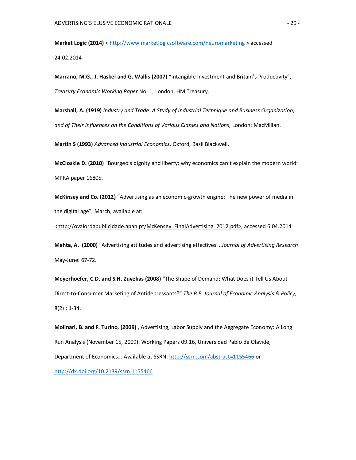**Market Logic (2014)** < http://www.marketlogicsoftware.com/neuromarketing > accessed 24.02.2014

**Marrano, M.G., J. Haskel and G. Wallis (2007)** "Intangible Investment and Britain's Productivity", *Treasury Economic Working Paper* No. 1, London, HM Treasury.

**Marshall, A. (1919)** *Industry and Trade: A Study of Industrial Technique and Business Organization; and of Their Influences on the Conditions of Various Classes and Nations*, London: MacMillan.

**Martin S (1993)** *Advanced Industrial Economics*, Oxford, Basil Blackwell.

**McCloskie D. (2010)** "Bourgeois dignity and liberty: why economics can't explain the modern world" MPRA paper 16805.

**McKinsey and Co. (2012)** "Advertising as an economic-growth engine: The new power of media in the digital age", March, available at:

<http://ovalordapublicidade.apan.pt/McKensey\_FinalAdvertising\_2012.pdf>, accessed 6.04.2014

**Mehta, A. (2000)** "Advertising attitudes and advertising effectives", *Journal of Advertising Research* May-June: 67-72.

**Meyerhoefer, C.D. and S.H. Zuvekas (2008)** "The Shape of Demand: What Does it Tell Us About Direct-to-Consumer Marketing of Antidepressants?" *The B.E. Journal of Economic Analysis & Policy*, 8(2) : 1-34.

**Molinari, B. and F. Turino, (2009)** , Advertising, Labor Supply and the Aggregate Economy: A Long Run Analysis (November 15, 2009). Working Papers 09.16, Universidad Pablo de Olavide, Department of Economics. . Available at SSRN: http://ssrn.com/abstract=1155466 or http://dx.doi.org/10.2139/ssrn.1155466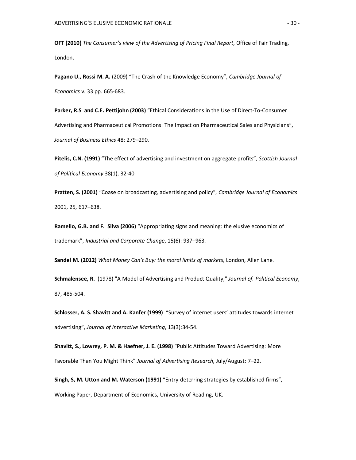**OFT (2010)** *The Consumer's view of the Advertising of Pricing Final Report*, Office of Fair Trading, London.

**Pagano U., Rossi M. A.** (2009) "The Crash of the Knowledge Economy", *Cambridge Journal of Economics* v. 33 pp. 665-683.

**Parker, R.S and C.E. Pettijohn (2003)** "Ethical Considerations in the Use of Direct-To-Consumer Advertising and Pharmaceutical Promotions: The Impact on Pharmaceutical Sales and Physicians", *Journal of Business Ethics* 48: 279–290.

**Pitelis, C.N. (1991)** "The effect of advertising and investment on aggregate profits", *Scottish Journal of Political Economy* 38(1), 32-40.

**Pratten, S. (2001)** "Coase on broadcasting, advertising and policy", *Cambridge Journal of Economics*  2001, 25, 617–638.

**Ramello, G.B. and F. Silva (2006)** "Appropriating signs and meaning: the elusive economics of trademark", *Industrial and Corporate Change*, 15(6): 937–963.

**Sandel M. (2012)** *What Money Can't Buy: the moral limits of markets,* London, Allen Lane.

**Schmalensee, R.** (1978) "A Model of Advertising and Product Quality," *Journal of. Political Economy*, 87, 485-504.

**Schlosser, A. S. Shavitt and A. Kanfer (1999)** "Survey of internet users' attitudes towards internet advertising", *Journal of Interactive Marketing*, 13(3):34-54.

**Shavitt, S., Lowrey, P. M. & Haefner, J. E. (1998)** "Public Attitudes Toward Advertising: More Favorable Than You Might Think" *Journal of Advertising Research*, July/August: 7–22.

**Singh, S, M. Utton and M. Waterson (1991)** "Entry-deterring strategies by established firms", Working Paper, Department of Economics, University of Reading, UK.